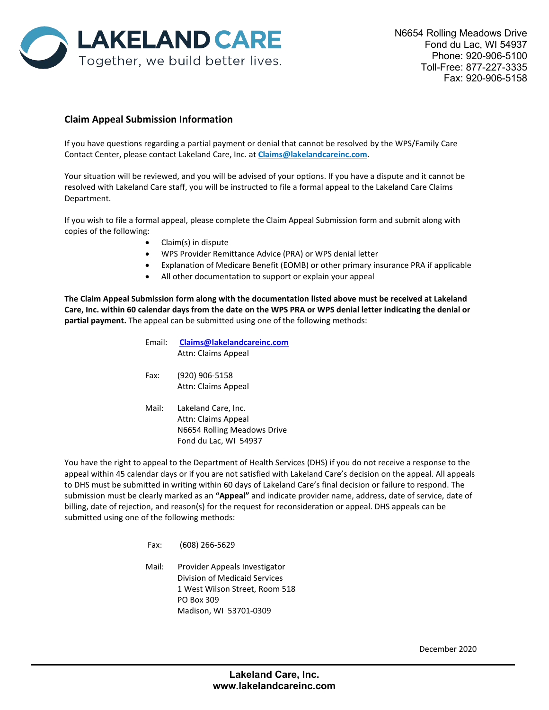

## **Claim Appeal Submission Information**

If you have questions regarding a partial payment or denial that cannot be resolved by the WPS/Family Care Contact Center, please contact Lakeland Care, Inc. at **Claims@lakelandcareinc.com**.

Your situation will be reviewed, and you will be advised of your options. If you have a dispute and it cannot be resolved with Lakeland Care staff, you will be instructed to file a formal appeal to the Lakeland Care Claims Department.

If you wish to file a formal appeal, please complete the Claim Appeal Submission form and submit along with copies of the following:

- Claim(s) in dispute
- WPS Provider Remittance Advice (PRA) or WPS denial letter
- Explanation of Medicare Benefit (EOMB) or other primary insurance PRA if applicable
- All other documentation to support or explain your appeal

**The Claim Appeal Submission form along with the documentation listed above must be received at Lakeland Care, Inc. within 60 calendar days from the date on the WPS PRA or WPS denial letter indicating the denial or partial payment.** The appeal can be submitted using one of the following methods:

> Email: **[Claims@lakelandcareinc.com](mailto:Claims@lakelandcareinc.com)** Attn: Claims Appeal Fax: (920) 906-5158 Attn: Claims Appeal Mail: Lakeland Care, Inc. Attn: Claims Appeal N6654 Rolling Meadows Drive Fond du Lac, WI 54937

You have the right to appeal to the Department of Health Services (DHS) if you do not receive a response to the appeal within 45 calendar days or if you are not satisfied with Lakeland Care's decision on the appeal. All appeals to DHS must be submitted in writing within 60 days of Lakeland Care's final decision or failure to respond. The submission must be clearly marked as an **"Appeal"** and indicate provider name, address, date of service, date of billing, date of rejection, and reason(s) for the request for reconsideration or appeal. DHS appeals can be submitted using one of the following methods:

- Fax: (608) [266-5629](mailto:DHSLTCProviderAppeals@dhs.wisconsin.gov)
- Mail: Provider Appeals Investigator Division of Medicaid Services 1 West Wilson Street, Room 518 PO Box 309 Madison, WI 53701-0309

December 2020